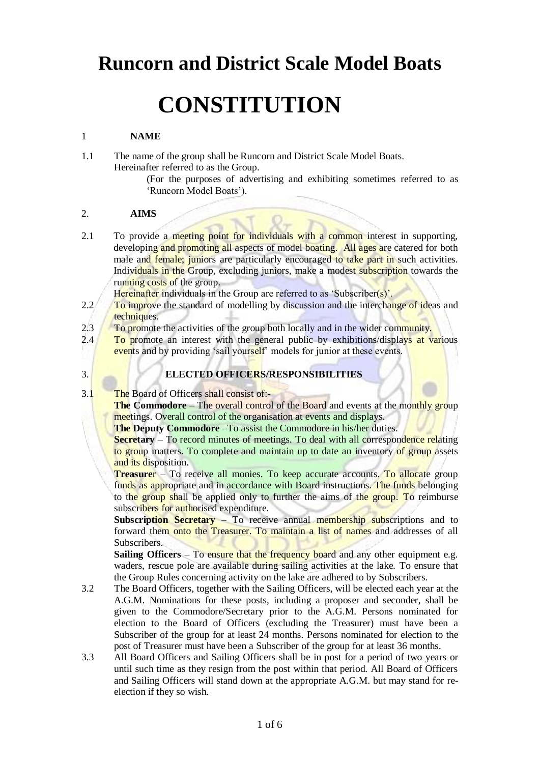# **Runcorn and District Scale Model Boats**

# **CONSTITUTION**

## 1 **NAME**

1.1 The name of the group shall be Runcorn and District Scale Model Boats. Hereinafter referred to as the Group.

> (For the purposes of advertising and exhibiting sometimes referred to as 'Runcorn Model Boats').

#### 2. **AIMS**

2.1 To provide a meeting point for individuals with a common interest in supporting, developing and promoting all aspects of model boating. All ages are catered for both male and female; juniors are particularly encouraged to take part in such activities. Individuals in the Group, excluding juniors, make a modest subscription towards the running costs of the group.

Hereinafter individuals in the Group are referred to as 'Subscriber(s)'.

- 2.2 To improve the standard of modelling by discussion and the interchange of ideas and techniques.
- 2.3 To promote the activities of the group both locally and in the wider community.

2.4 To promote an interest with the general public by exhibitions/displays at various events and by providing 'sail yourself' models for junior at these events.

#### 3. **ELECTED OFFICERS/RESPONSIBILITIES**

3.1 The Board of Officers shall consist of:-

**The Commodore** – The overall control of the Board and events at the monthly group meetings. Overall control of the organisation at events and displays.

**The Deputy Commodore** –To assist the Commodore in his/her duties.

**Secretary** – To record minutes of meetings. To deal with all correspondence relating to group matters. To complete and maintain up to date an inventory of group assets and its disposition.

**Treasurer** – To receive all monies. To keep accurate accounts. To allocate group funds as appropriate and in accordance with Board instructions. The funds belonging to the group shall be applied only to further the aims of the group. To reimburse subscribers for authorised expenditure.

**Subscription Secretary** – To receive annual membership subscriptions and to forward them onto the Treasurer. To maintain a list of names and addresses of all Subscribers.

**Sailing Officers** – To ensure that the frequency board and any other equipment e.g. waders, rescue pole are available during sailing activities at the lake. To ensure that the Group Rules concerning activity on the lake are adhered to by Subscribers.

- 3.2 The Board Officers, together with the Sailing Officers, will be elected each year at the A.G.M. Nominations for these posts, including a proposer and seconder, shall be given to the Commodore/Secretary prior to the A.G.M. Persons nominated for election to the Board of Officers (excluding the Treasurer) must have been a Subscriber of the group for at least 24 months. Persons nominated for election to the post of Treasurer must have been a Subscriber of the group for at least 36 months.
- 3.3 All Board Officers and Sailing Officers shall be in post for a period of two years or until such time as they resign from the post within that period. All Board of Officers and Sailing Officers will stand down at the appropriate A.G.M. but may stand for reelection if they so wish.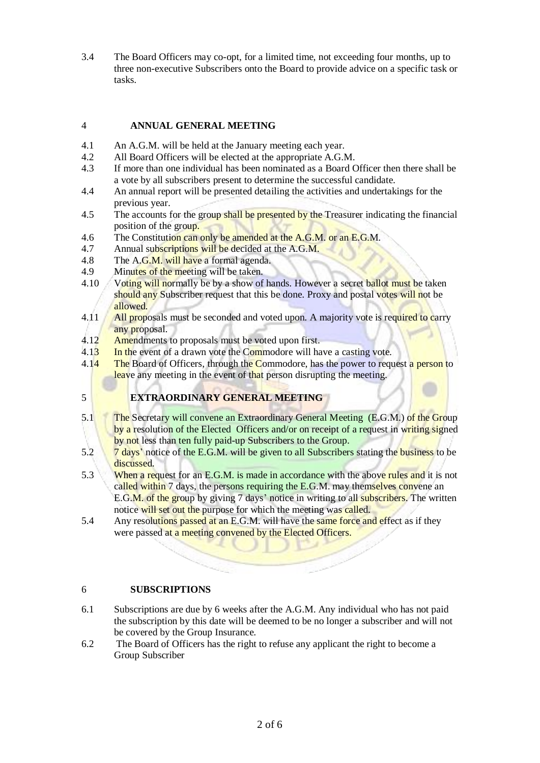3.4 The Board Officers may co-opt, for a limited time, not exceeding four months, up to three non-executive Subscribers onto the Board to provide advice on a specific task or tasks.

# 4 **ANNUAL GENERAL MEETING**

- 4.1 An A.G.M. will be held at the January meeting each year.
- 4.2 All Board Officers will be elected at the appropriate A.G.M.
- 4.3 If more than one individual has been nominated as a Board Officer then there shall be a vote by all subscribers present to determine the successful candidate.
- 4.4 An annual report will be presented detailing the activities and undertakings for the previous year.
- 4.5 The accounts for the group shall be presented by the Treasurer indicating the financial position of the group.
- 4.6 The Constitution can only be amended at the A.G.M. or an E.G.M.
- 4.7 Annual subscriptions will be decided at the A.G.M.
- 4.8 The A.G.M. will have a formal agenda.
- 4.9 Minutes of the meeting will be taken.
- 4.10 Voting will normally be by a show of hands. However a secret ballot must be taken should any Subscriber request that this be done. Proxy and postal votes will not be allowed.
- 4.11 All proposals must be seconded and voted upon. A majority vote is required to carry any proposal.
- 4.12 Amendments to proposals must be voted upon first.
- 4.13 In the event of a drawn vote the Commodore will have a casting vote.
- 4.14 The Board of Officers, through the Commodore, has the power to request a person to leave any meeting in the event of that person disrupting the meeting.

# 5 **EXTRAORDINARY GENERAL MEETING**

- 5.1 The Secretary will convene an Extraordinary General Meeting (E.G.M.) of the Group by a resolution of the Elected Officers and/or on receipt of a request in writing signed by not less than ten fully paid-up Subscribers to the Group.
- 5.2 7 days' notice of the E.G.M. will be given to all Subscribers stating the business to be discussed.
- 5.3 When a request for an E.G.M. is made in accordance with the above rules and it is not called within 7 days, the persons requiring the E.G.M. may themselves convene an E.G.M. of the group by giving 7 days' notice in writing to all subscribers. The written notice will set out the purpose for which the meeting was called.
- 5.4 Any resolutions passed at an E.G.M. will have the same force and effect as if they were passed at a meeting convened by the Elected Officers.

# 6 **SUBSCRIPTIONS**

- 6.1 Subscriptions are due by 6 weeks after the A.G.M. Any individual who has not paid the subscription by this date will be deemed to be no longer a subscriber and will not be covered by the Group Insurance.
- 6.2 The Board of Officers has the right to refuse any applicant the right to become a Group Subscriber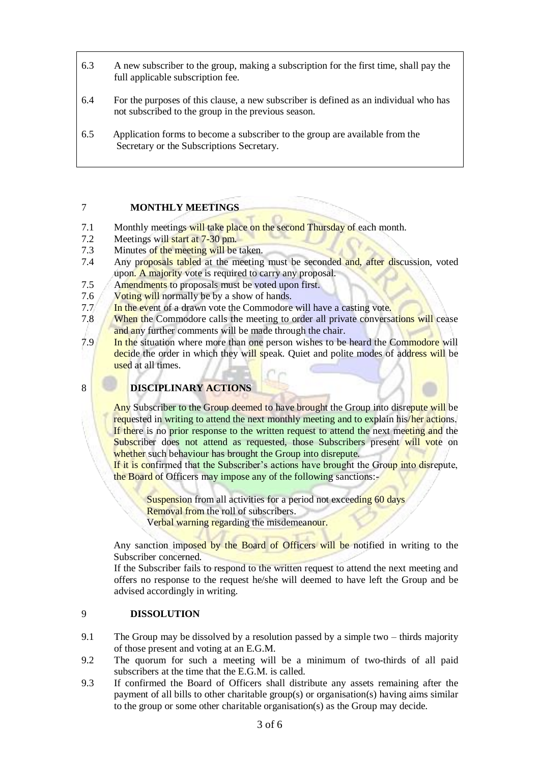- 6.3 A new subscriber to the group, making a subscription for the first time, shall pay the full applicable subscription fee.
- 6.4 For the purposes of this clause, a new subscriber is defined as an individual who has not subscribed to the group in the previous season.
- 6.5 Application forms to become a subscriber to the group are available from the Secretary or the Subscriptions Secretary.

#### 7 **MONTHLY MEETINGS**

- 7.1 Monthly meetings will take place on the second Thursday of each month.
- 7.2 Meetings will start at 7-30 pm.
- 7.3 Minutes of the meeting will be taken.
- 7.4 Any proposals tabled at the meeting must be seconded and, after discussion, voted upon. A majority vote is required to carry any proposal.
- 7.5 Amendments to proposals must be voted upon first.
- 7.6 Voting will normally be by a show of hands.
- 7.7 In the event of a drawn vote the Commodore will have a casting vote.
- 7.8 When the Commodore calls the meeting to order all private conversations will cease and any further comments will be made through the chair.
- 7.9 In the situation where more than one person wishes to be heard the Commodore will decide the order in which they will speak. Quiet and polite modes of address will be used at all times.
- 8 **DISCIPLINARY ACTIONS**

Any Subscriber to the Group deemed to have brought the Group into disrepute will be requested in writing to attend the next monthly meeting and to explain his/her actions. If there is no prior response to the written request to attend the next meeting and the Subscriber does not attend as requested, those Subscribers present will vote on whether such behaviour has brought the Group into disrepute.

If it is confirmed that the Subscriber's actions have brought the Group into disrepute, the Board of Officers may impose any of the following sanctions:-

Suspension from all activities for a period not exceeding 60 days Removal from the roll of subscribers. Verbal warning regarding the misdemeanour.

Any sanction imposed by the Board of Officers will be notified in writing to the Subscriber concerned.

If the Subscriber fails to respond to the written request to attend the next meeting and offers no response to the request he/she will deemed to have left the Group and be advised accordingly in writing.

## 9 **DISSOLUTION**

- 9.1 The Group may be dissolved by a resolution passed by a simple two thirds majority of those present and voting at an E.G.M.
- 9.2 The quorum for such a meeting will be a minimum of two-thirds of all paid subscribers at the time that the E.G.M. is called.
- 9.3 If confirmed the Board of Officers shall distribute any assets remaining after the payment of all bills to other charitable group(s) or organisation(s) having aims similar to the group or some other charitable organisation(s) as the Group may decide.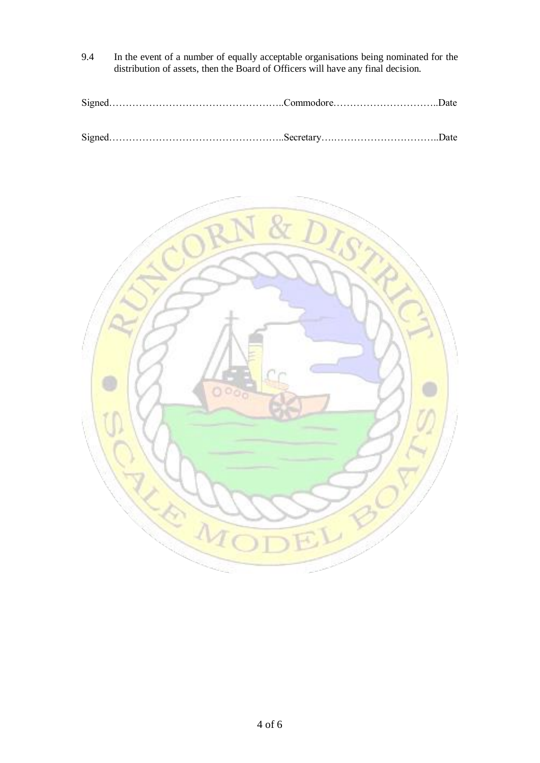- 9.4 In the event of a number of equally acceptable organisations being nominated for the distribution of assets, then the Board of Officers will have any final decision.
- Signed……………………………………………..Commodore…………………………..Date

Signed……………………………………………..Secretary….…………………………..Date

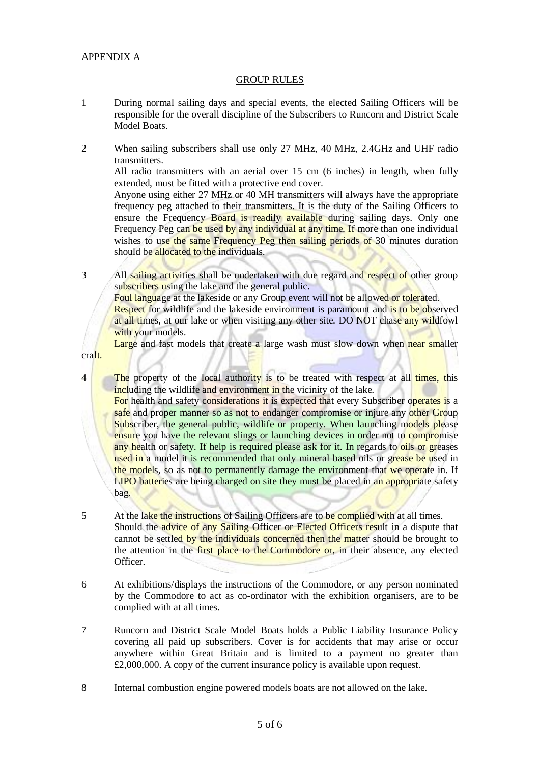#### APPENDIX A

craft.

#### GROUP RULES

- 1 During normal sailing days and special events, the elected Sailing Officers will be responsible for the overall discipline of the Subscribers to Runcorn and District Scale Model Boats.
- 2 When sailing subscribers shall use only 27 MHz, 40 MHz, 2.4GHz and UHF radio transmitters.

All radio transmitters with an aerial over 15 cm (6 inches) in length, when fully extended, must be fitted with a protective end cover.

Anyone using either 27 MHz or 40 MH transmitters will always have the appropriate frequency peg attached to their transmitters. It is the duty of the Sailing Officers to ensure the Frequency Board is readily available during sailing days. Only one Frequency Peg can be used by any individual at any time. If more than one individual wishes to use the same Frequency Peg then sailing periods of 30 minutes duration should be allocated to the individuals.

3 All sailing activities shall be undertaken with due regard and respect of other group subscribers using the lake and the general public.

Foul language at the lakeside or any Group event will not be allowed or tolerated.

Respect for wildlife and the lakeside environment is paramount and is to be observed at all times, at our lake or when visiting any other site. DO NOT chase any wildfowl with your models.

Large and fast models that create a large wash must slow down when near smaller

4 The property of the local authority is to be treated with respect at all times, this including the wildlife and environment in the vicinity of the lake.

For health and safety considerations it is expected that every Subscriber operates is a safe and proper manner so as not to endanger compromise or injure any other Group Subscriber, the general public, wildlife or property. When launching models please ensure you have the relevant slings or launching devices in order not to compromise any health or safety. If help is required please ask for it. In regards to oils or greases used in a model it is recommended that only mineral based oils or grease be used in the models, so as not to permanently damage the environment that we operate in. If LIPO batteries are being charged on site they must be placed in an appropriate safety bag.

- 5 At the lake the instructions of Sailing Officers are to be complied with at all times. Should the advice of any Sailing Officer or Elected Officers result in a dispute that cannot be settled by the individuals concerned then the matter should be brought to the attention in the first place to the Commodore or, in their absence, any elected Officer.
- 6 At exhibitions/displays the instructions of the Commodore, or any person nominated by the Commodore to act as co-ordinator with the exhibition organisers, are to be complied with at all times.
- 7 Runcorn and District Scale Model Boats holds a Public Liability Insurance Policy covering all paid up subscribers. Cover is for accidents that may arise or occur anywhere within Great Britain and is limited to a payment no greater than £2,000,000. A copy of the current insurance policy is available upon request.
- 8 Internal combustion engine powered models boats are not allowed on the lake.